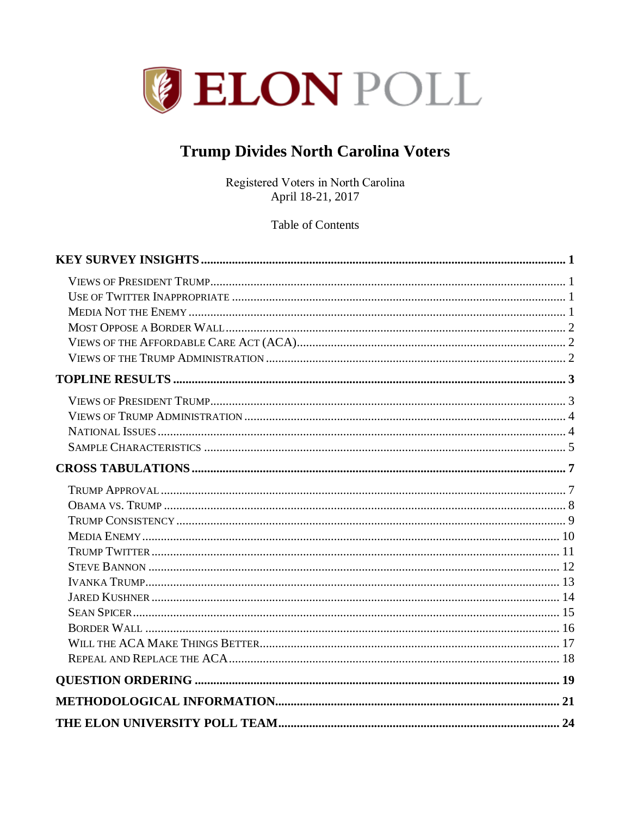

# **Trump Divides North Carolina Voters**

Registered Voters in North Carolina April 18-21, 2017

**Table of Contents**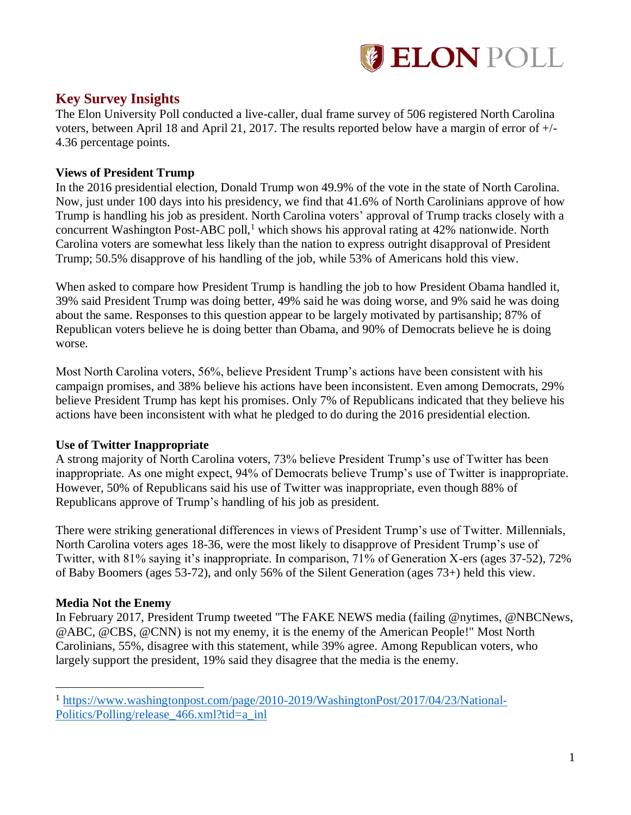

### <span id="page-1-0"></span>**Key Survey Insights**

The Elon University Poll conducted a live-caller, dual frame survey of 506 registered North Carolina voters, between April 18 and April 21, 2017. The results reported below have a margin of error of +/- 4.36 percentage points.

### <span id="page-1-1"></span>**Views of President Trump**

In the 2016 presidential election, Donald Trump won 49.9% of the vote in the state of North Carolina. Now, just under 100 days into his presidency, we find that 41.6% of North Carolinians approve of how Trump is handling his job as president. North Carolina voters' approval of Trump tracks closely with a concurrent Washington Post-ABC poll,<sup>1</sup> which shows his approval rating at 42% nationwide. North Carolina voters are somewhat less likely than the nation to express outright disapproval of President Trump; 50.5% disapprove of his handling of the job, while 53% of Americans hold this view.

When asked to compare how President Trump is handling the job to how President Obama handled it, 39% said President Trump was doing better, 49% said he was doing worse, and 9% said he was doing about the same. Responses to this question appear to be largely motivated by partisanship; 87% of Republican voters believe he is doing better than Obama, and 90% of Democrats believe he is doing worse.

Most North Carolina voters, 56%, believe President Trump's actions have been consistent with his campaign promises, and 38% believe his actions have been inconsistent. Even among Democrats, 29% believe President Trump has kept his promises. Only 7% of Republicans indicated that they believe his actions have been inconsistent with what he pledged to do during the 2016 presidential election.

### <span id="page-1-2"></span>**Use of Twitter Inappropriate**

A strong majority of North Carolina voters, 73% believe President Trump's use of Twitter has been inappropriate. As one might expect, 94% of Democrats believe Trump's use of Twitter is inappropriate. However, 50% of Republicans said his use of Twitter was inappropriate, even though 88% of Republicans approve of Trump's handling of his job as president.

There were striking generational differences in views of President Trump's use of Twitter. Millennials, North Carolina voters ages 18-36, were the most likely to disapprove of President Trump's use of Twitter, with 81% saying it's inappropriate. In comparison, 71% of Generation X-ers (ages 37-52), 72% of Baby Boomers (ages 53-72), and only 56% of the Silent Generation (ages 73+) held this view.

### <span id="page-1-3"></span>**Media Not the Enemy**

 $\overline{a}$ 

In February 2017, President Trump tweeted "The FAKE NEWS media (failing @nytimes, @NBCNews, @ABC, @CBS, @CNN) is not my enemy, it is the enemy of the American People!" Most North Carolinians, 55%, disagree with this statement, while 39% agree. Among Republican voters, who largely support the president, 19% said they disagree that the media is the enemy.

<sup>1</sup> [https://www.washingtonpost.com/page/2010-2019/WashingtonPost/2017/04/23/National-](https://www.washingtonpost.com/page/2010-2019/WashingtonPost/2017/04/23/National-Politics/Polling/release_466.xml?tid=a_inl)[Politics/Polling/release\\_466.xml?tid=a\\_inl](https://www.washingtonpost.com/page/2010-2019/WashingtonPost/2017/04/23/National-Politics/Polling/release_466.xml?tid=a_inl)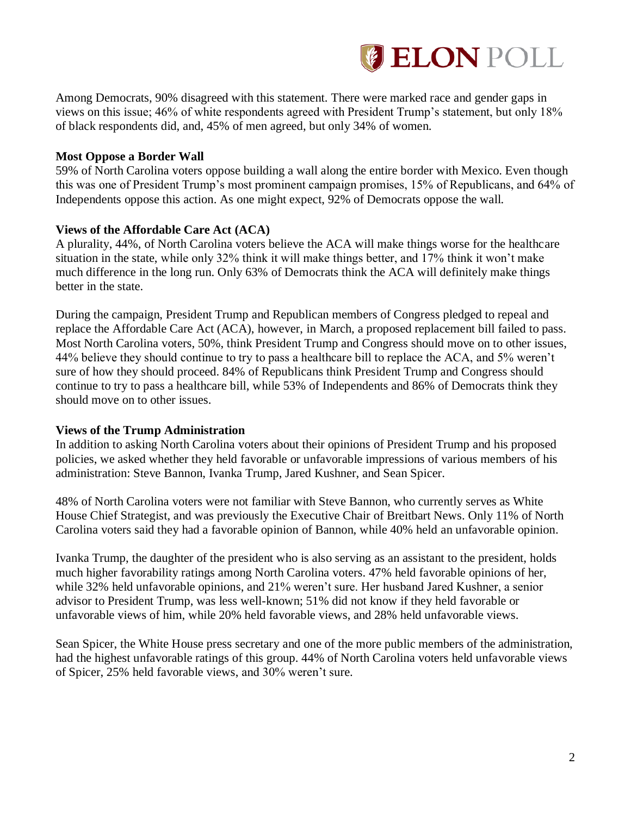

Among Democrats, 90% disagreed with this statement. There were marked race and gender gaps in views on this issue; 46% of white respondents agreed with President Trump's statement, but only 18% of black respondents did, and, 45% of men agreed, but only 34% of women.

### <span id="page-2-0"></span>**Most Oppose a Border Wall**

59% of North Carolina voters oppose building a wall along the entire border with Mexico. Even though this was one of President Trump's most prominent campaign promises, 15% of Republicans, and 64% of Independents oppose this action. As one might expect, 92% of Democrats oppose the wall.

### <span id="page-2-1"></span>**Views of the Affordable Care Act (ACA)**

A plurality, 44%, of North Carolina voters believe the ACA will make things worse for the healthcare situation in the state, while only 32% think it will make things better, and 17% think it won't make much difference in the long run. Only 63% of Democrats think the ACA will definitely make things better in the state.

During the campaign, President Trump and Republican members of Congress pledged to repeal and replace the Affordable Care Act (ACA), however, in March, a proposed replacement bill failed to pass. Most North Carolina voters, 50%, think President Trump and Congress should move on to other issues, 44% believe they should continue to try to pass a healthcare bill to replace the ACA, and 5% weren't sure of how they should proceed. 84% of Republicans think President Trump and Congress should continue to try to pass a healthcare bill, while 53% of Independents and 86% of Democrats think they should move on to other issues.

#### <span id="page-2-2"></span>**Views of the Trump Administration**

In addition to asking North Carolina voters about their opinions of President Trump and his proposed policies, we asked whether they held favorable or unfavorable impressions of various members of his administration: Steve Bannon, Ivanka Trump, Jared Kushner, and Sean Spicer.

48% of North Carolina voters were not familiar with Steve Bannon, who currently serves as White House Chief Strategist, and was previously the Executive Chair of Breitbart News. Only 11% of North Carolina voters said they had a favorable opinion of Bannon, while 40% held an unfavorable opinion.

Ivanka Trump, the daughter of the president who is also serving as an assistant to the president, holds much higher favorability ratings among North Carolina voters. 47% held favorable opinions of her, while 32% held unfavorable opinions, and 21% weren't sure. Her husband Jared Kushner, a senior advisor to President Trump, was less well-known; 51% did not know if they held favorable or unfavorable views of him, while 20% held favorable views, and 28% held unfavorable views.

Sean Spicer, the White House press secretary and one of the more public members of the administration, had the highest unfavorable ratings of this group. 44% of North Carolina voters held unfavorable views of Spicer, 25% held favorable views, and 30% weren't sure.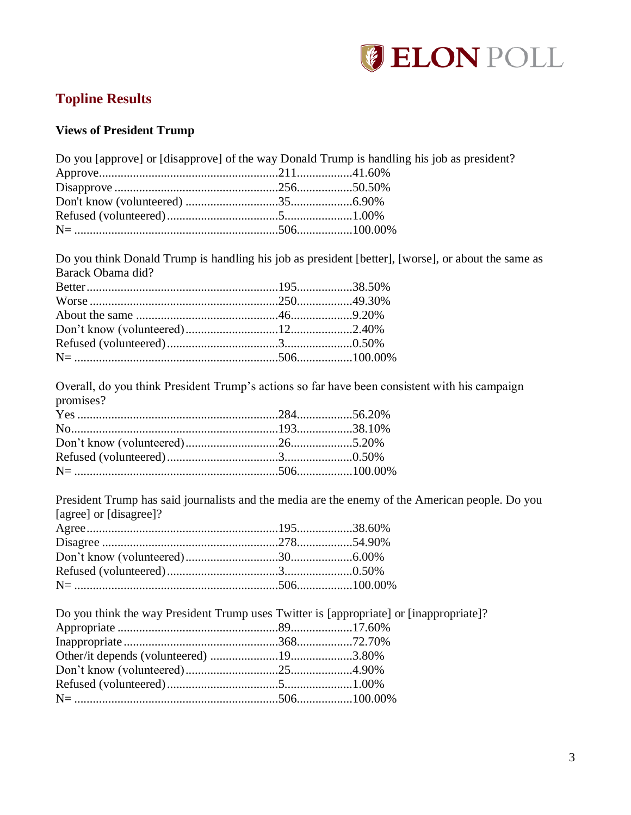

## <span id="page-3-0"></span>**Topline Results**

### <span id="page-3-1"></span>**Views of President Trump**

| Do you [approve] or [disapprove] of the way Donald Trump is handling his job as president? |  |  |
|--------------------------------------------------------------------------------------------|--|--|
|                                                                                            |  |  |
|                                                                                            |  |  |
|                                                                                            |  |  |
|                                                                                            |  |  |
|                                                                                            |  |  |

Do you think Donald Trump is handling his job as president [better], [worse], or about the same as Barack Obama did?

Overall, do you think President Trump's actions so far have been consistent with his campaign promises?

President Trump has said journalists and the media are the enemy of the American people. Do you [agree] or [disagree]?

<span id="page-3-2"></span>Do you think the way President Trump uses Twitter is [appropriate] or [inappropriate]? Appropriate ....................................................89....................17.60% Inappropriate ..................................................368..................72.70% Other/it depends (volunteered) ......................19....................3.80% Don't know (volunteered)..............................25....................4.90% Refused (volunteered)....................................5......................1.00% N= ..................................................................506..................100.00%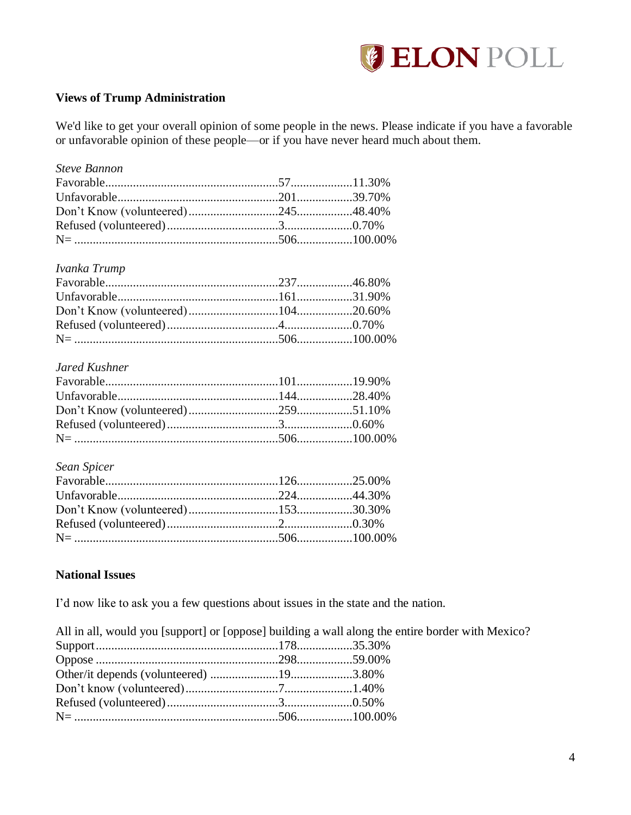

### **Views of Trump Administration**

We'd like to get your overall opinion of some people in the news. Please indicate if you have a favorable or unfavorable opinion of these people—or if you have never heard much about them.

| <b>Steve Bannon</b>  |  |
|----------------------|--|
|                      |  |
|                      |  |
|                      |  |
|                      |  |
|                      |  |
|                      |  |
| Ivanka Trump         |  |
|                      |  |
|                      |  |
|                      |  |
|                      |  |
|                      |  |
|                      |  |
| <b>Jared Kushner</b> |  |
|                      |  |
|                      |  |
|                      |  |
|                      |  |
|                      |  |
|                      |  |
| Sean Spicer          |  |
|                      |  |
|                      |  |
|                      |  |
|                      |  |
|                      |  |

### <span id="page-4-0"></span>**National Issues**

I'd now like to ask you a few questions about issues in the state and the nation.

All in all, would you [support] or [oppose] building a wall along the entire border with Mexico? Support...........................................................178..................35.30% Oppose ...........................................................298..................59.00% Other/it depends (volunteered) ......................19....................3.80% Don't know (volunteered)..............................7......................1.40% Refused (volunteered)....................................3......................0.50% N= ..................................................................506..................100.00%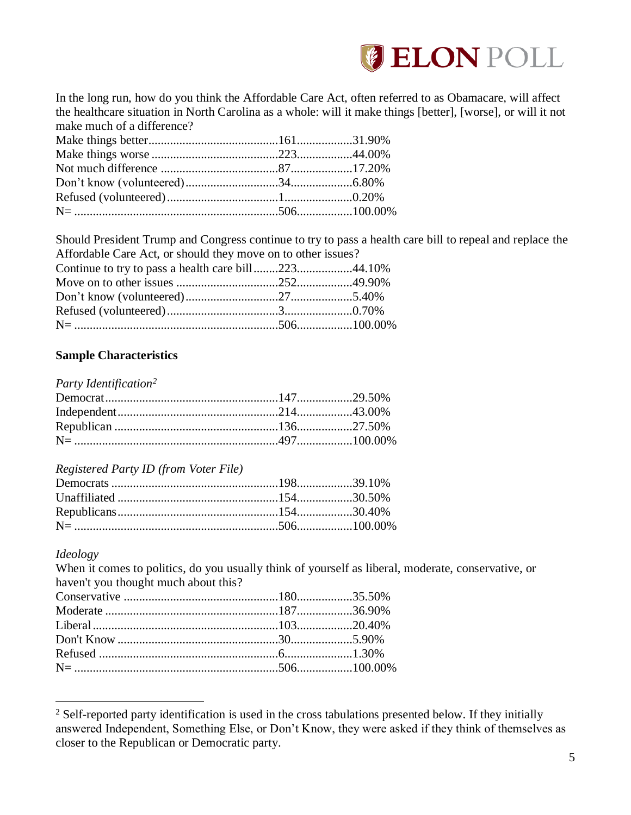

In the long run, how do you think the Affordable Care Act, often referred to as Obamacare, will affect the healthcare situation in North Carolina as a whole: will it make things [better], [worse], or will it not make much of a difference?

Should President Trump and Congress continue to try to pass a health care bill to repeal and replace the Affordable Care Act, or should they move on to other issues?

| Continue to try to pass a health care bill22344.10% |  |
|-----------------------------------------------------|--|
|                                                     |  |
|                                                     |  |
|                                                     |  |
|                                                     |  |

### <span id="page-5-0"></span>**Sample Characteristics**

*Party Identification<sup>2</sup>*

### *Registered Party ID (from Voter File)*

#### *Ideology*

 $\overline{a}$ 

When it comes to politics, do you usually think of yourself as liberal, moderate, conservative, or haven't you thought much about this?

<sup>&</sup>lt;sup>2</sup> Self-reported party identification is used in the cross tabulations presented below. If they initially answered Independent, Something Else, or Don't Know, they were asked if they think of themselves as closer to the Republican or Democratic party.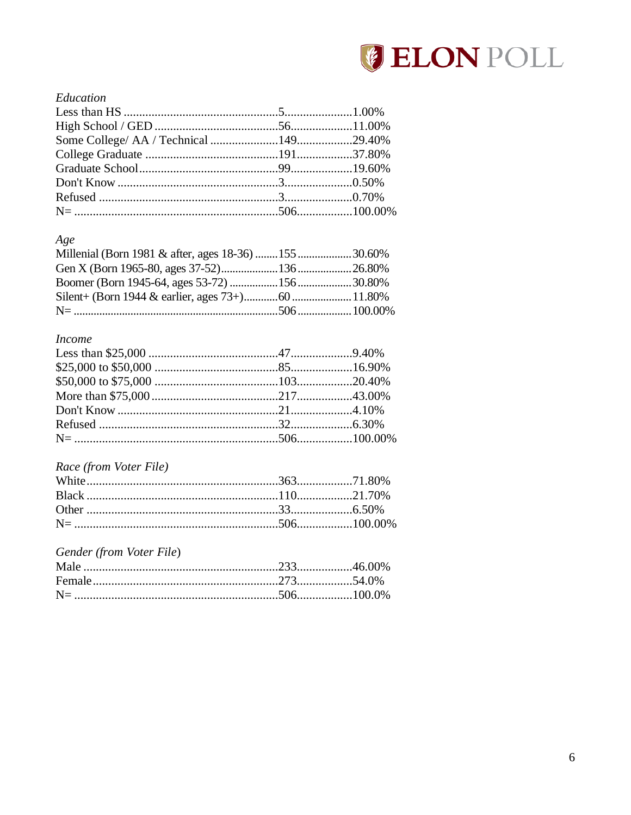

### Education

### $Age$

| Millenial (Born 1981 & after, ages 18-36) 155 30.60% |  |
|------------------------------------------------------|--|
|                                                      |  |
|                                                      |  |
|                                                      |  |
|                                                      |  |

### **Income**

### Race (from Voter File)

### Gender (from Voter File)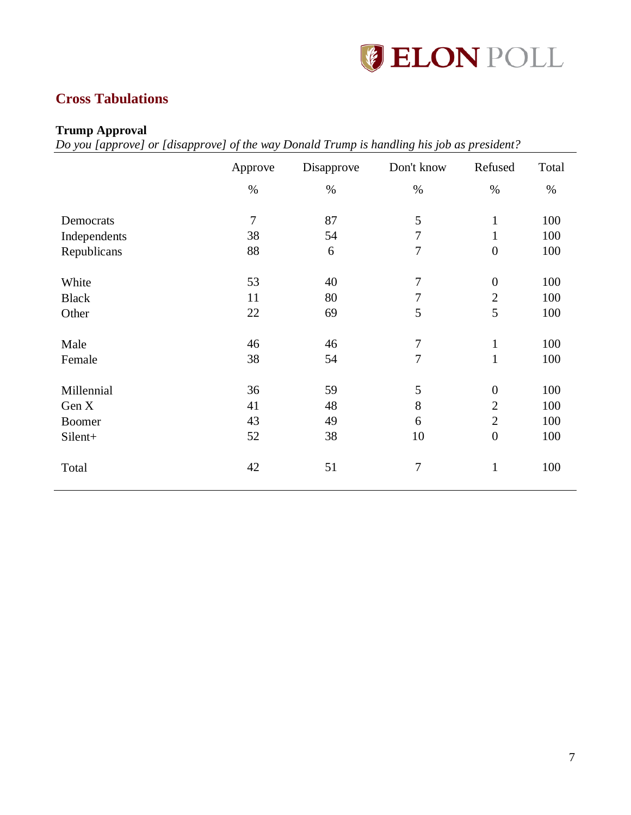

# <span id="page-7-0"></span>**Cross Tabulations**

### <span id="page-7-1"></span>**Trump Approval**

*Do you [approve] or [disapprove] of the way Donald Trump is handling his job as president?*

|              | Approve        | Disapprove | Don't know     | Refused          | Total |
|--------------|----------------|------------|----------------|------------------|-------|
|              | $\%$           | $\%$       | $\%$           | $\%$             | $\%$  |
| Democrats    | $\overline{7}$ | 87         | 5              | $\mathbf{1}$     | 100   |
| Independents | 38             | 54         | $\tau$         | $\mathbf{1}$     | 100   |
| Republicans  | 88             | 6          | $\tau$         | $\boldsymbol{0}$ | 100   |
| White        | 53             | 40         | $\tau$         | $\boldsymbol{0}$ | 100   |
| <b>Black</b> | 11             | 80         | $\tau$         | $\overline{2}$   | 100   |
| Other        | 22             | 69         | 5              | 5                | 100   |
| Male         | 46             | 46         | $\overline{7}$ | $\mathbf{1}$     | 100   |
| Female       | 38             | 54         | $\tau$         | $\mathbf{1}$     | 100   |
| Millennial   | 36             | 59         | 5              | $\boldsymbol{0}$ | 100   |
| Gen X        | 41             | 48         | $8\,$          | $\overline{2}$   | 100   |
| Boomer       | 43             | 49         | 6              | $\overline{2}$   | 100   |
| Silent+      | 52             | 38         | 10             | $\boldsymbol{0}$ | 100   |
| Total        | 42             | 51         | $\overline{7}$ | $\mathbf{1}$     | 100   |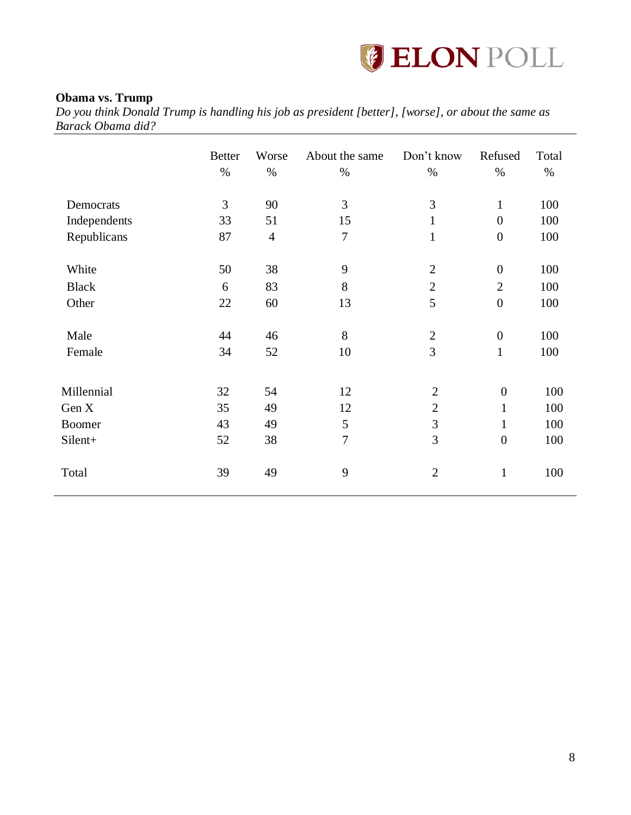

### <span id="page-8-0"></span>**Obama vs. Trump**

*Do you think Donald Trump is handling his job as president [better], [worse], or about the same as Barack Obama did?*

|               | <b>Better</b><br>$\%$ | Worse<br>$\%$  | About the same<br>$\%$ | Don't know<br>$\%$ | Refused<br>$\%$  | Total<br>$\%$ |
|---------------|-----------------------|----------------|------------------------|--------------------|------------------|---------------|
| Democrats     | 3                     | 90             | 3                      | 3                  | $\mathbf{1}$     | 100           |
| Independents  | 33                    | 51             | 15                     | $\mathbf{1}$       | $\overline{0}$   | 100           |
| Republicans   | 87                    | $\overline{4}$ | $\overline{7}$         | $\mathbf{1}$       | $\boldsymbol{0}$ | 100           |
| White         | 50                    | 38             | 9                      | $\overline{2}$     | $\boldsymbol{0}$ | 100           |
| <b>Black</b>  | 6                     | 83             | 8                      | $\mathbf{2}$       | $\overline{2}$   | 100           |
| Other         | 22                    | 60             | 13                     | 5                  | $\boldsymbol{0}$ | 100           |
| Male          | 44                    | 46             | 8                      | $\overline{2}$     | $\boldsymbol{0}$ | 100           |
| Female        | 34                    | 52             | 10                     | 3                  | $\mathbf{1}$     | 100           |
|               |                       |                |                        |                    |                  |               |
| Millennial    | 32                    | 54             | 12                     | $\overline{2}$     | $\boldsymbol{0}$ | 100           |
| Gen X         | 35                    | 49             | 12                     | $\overline{2}$     | $\mathbf{1}$     | 100           |
| <b>Boomer</b> | 43                    | 49             | 5                      | 3                  | $\mathbf{1}$     | 100           |
| Silent+       | 52                    | 38             | $\overline{7}$         | 3                  | $\boldsymbol{0}$ | 100           |
| Total         | 39                    | 49             | 9                      | $\overline{2}$     | $\mathbf{1}$     | 100           |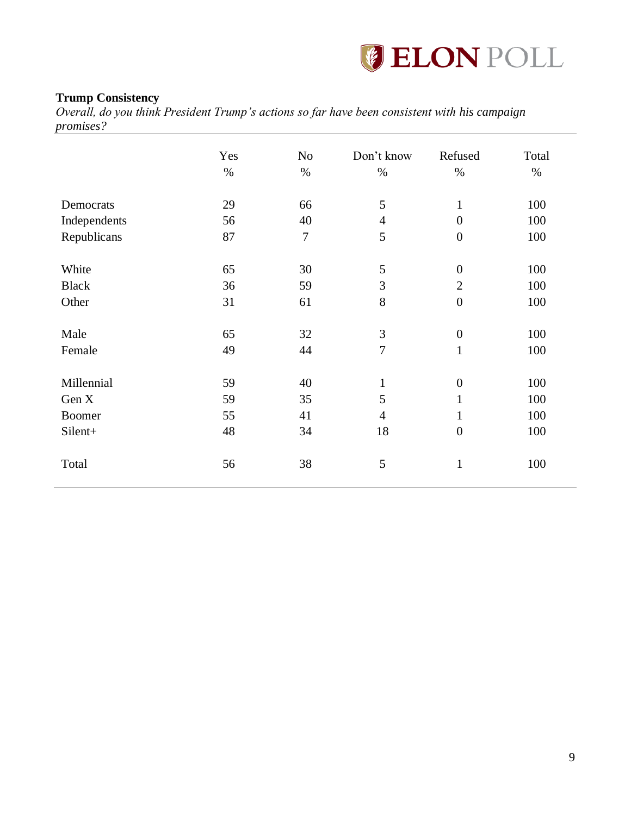

### <span id="page-9-0"></span>**Trump Consistency**

*Overall, do you think President Trump's actions so far have been consistent with his campaign promises?*

|               | Yes<br>$\%$ | N <sub>o</sub><br>$\%$ | Don't know<br>$\%$ | Refused<br>$\%$  | Total<br>$\%$ |
|---------------|-------------|------------------------|--------------------|------------------|---------------|
| Democrats     | 29          | 66                     | 5                  | $\mathbf{1}$     | 100           |
| Independents  | 56          | 40                     | $\overline{4}$     | $\overline{0}$   | 100           |
| Republicans   | 87          | $\overline{7}$         | 5                  | $\boldsymbol{0}$ | 100           |
| White         | 65          | 30                     | $\mathfrak{S}$     | $\overline{0}$   | 100           |
| <b>Black</b>  | 36          | 59                     | 3                  | $\overline{2}$   | 100           |
| Other         | 31          | 61                     | 8                  | $\boldsymbol{0}$ | 100           |
| Male          | 65          | 32                     | $\mathfrak{Z}$     | $\boldsymbol{0}$ | 100           |
| Female        | 49          | 44                     | $\overline{7}$     | $\mathbf{1}$     | 100           |
| Millennial    | 59          | 40                     | $\mathbf{1}$       | $\overline{0}$   | 100           |
| Gen X         | 59          | 35                     | 5                  | 1                | 100           |
| <b>Boomer</b> | 55          | 41                     | $\overline{4}$     | $\mathbf{1}$     | 100           |
| Silent+       | 48          | 34                     | 18                 | $\boldsymbol{0}$ | 100           |
| Total         | 56          | 38                     | 5                  | $\mathbf{1}$     | 100           |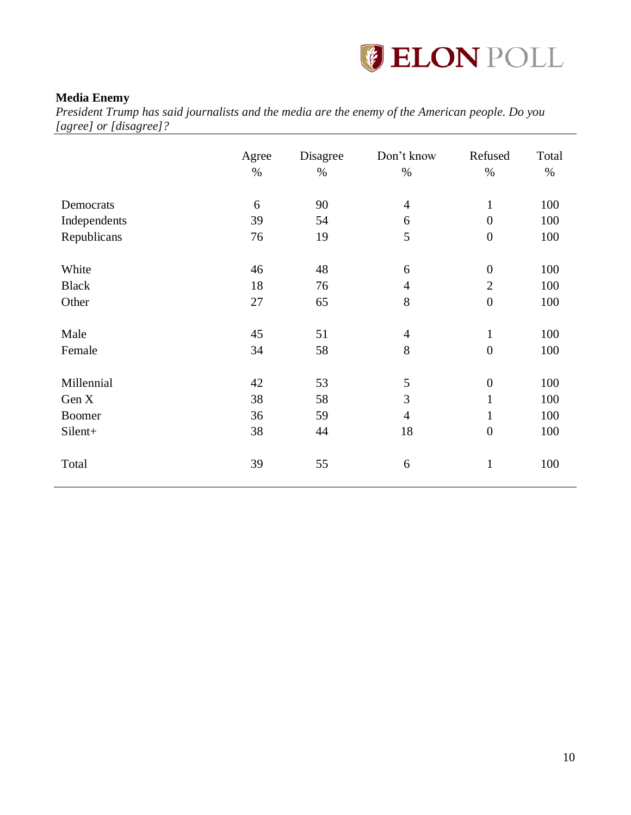

### <span id="page-10-0"></span>**Media Enemy**

*President Trump has said journalists and the media are the enemy of the American people. Do you [agree] or [disagree]?*

|               | Agree<br>$\%$ | Disagree<br>$\%$ | Don't know<br>$\%$ | Refused<br>$\%$  | Total<br>$\%$ |
|---------------|---------------|------------------|--------------------|------------------|---------------|
| Democrats     | 6             | 90               | $\overline{4}$     | $\mathbf{1}$     | 100           |
| Independents  | 39            | 54               | 6                  | $\overline{0}$   | 100           |
| Republicans   | 76            | 19               | 5                  | $\boldsymbol{0}$ | 100           |
| White         | 46            | 48               | 6                  | $\boldsymbol{0}$ | 100           |
| <b>Black</b>  | 18            | 76               | $\overline{4}$     | $\mathbf{2}$     | 100           |
| Other         | 27            | 65               | 8                  | $\boldsymbol{0}$ | 100           |
| Male          | 45            | 51               | $\overline{4}$     | $\mathbf{1}$     | 100           |
| Female        | 34            | 58               | 8                  | $\boldsymbol{0}$ | 100           |
| Millennial    | 42            | 53               | 5                  | $\boldsymbol{0}$ | 100           |
| Gen X         | 38            | 58               | 3                  | $\mathbf{1}$     | 100           |
| <b>Boomer</b> | 36            | 59               | $\overline{4}$     | $\mathbf{1}$     | 100           |
| Silent+       | 38            | 44               | 18                 | $\boldsymbol{0}$ | 100           |
| Total         | 39            | 55               | 6                  | $\mathbf{1}$     | 100           |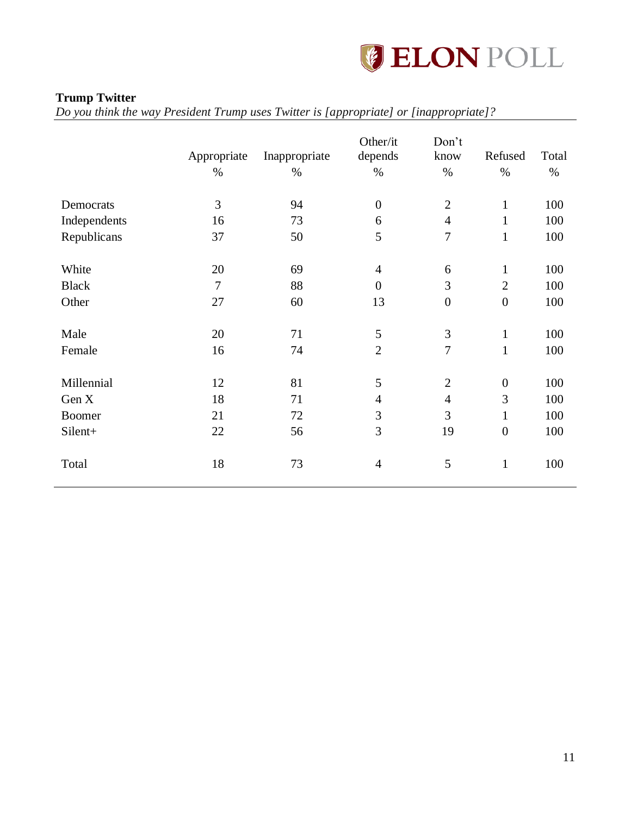

### <span id="page-11-0"></span>**Trump Twitter**

*Do you think the way President Trump uses Twitter is [appropriate] or [inappropriate]?*

|               | Appropriate<br>$\%$ | Inappropriate<br>$\%$ | Other/it<br>depends<br>$\%$ | Don't<br>know<br>$\%$ | Refused<br>$\%$  | Total<br>$\%$ |
|---------------|---------------------|-----------------------|-----------------------------|-----------------------|------------------|---------------|
| Democrats     | 3                   | 94                    | $\boldsymbol{0}$            | $\mathbf{2}$          | $\mathbf{1}$     | 100           |
| Independents  | 16                  | 73                    | 6                           | $\overline{4}$        | $\mathbf{1}$     | 100           |
| Republicans   | 37                  | 50                    | 5                           | $\overline{7}$        | $\mathbf{1}$     | 100           |
| White         | 20                  | 69                    | $\overline{4}$              | 6                     | 1                | 100           |
| <b>Black</b>  | $\overline{7}$      | 88                    | $\boldsymbol{0}$            | $\mathfrak{Z}$        | $\overline{2}$   | 100           |
| Other         | 27                  | 60                    | 13                          | $\boldsymbol{0}$      | $\boldsymbol{0}$ | 100           |
| Male          | 20                  | 71                    | 5                           | 3                     | $\mathbf{1}$     | 100           |
| Female        | 16                  | 74                    | $\overline{2}$              | $\overline{7}$        | $\mathbf{1}$     | 100           |
| Millennial    | 12                  | 81                    | 5                           | $\overline{2}$        | $\boldsymbol{0}$ | 100           |
| Gen X         | 18                  | 71                    | $\overline{4}$              | $\overline{4}$        | 3                | 100           |
| <b>Boomer</b> | 21                  | 72                    | $\mathfrak{Z}$              | 3                     | $\mathbf{1}$     | 100           |
| Silent+       | 22                  | 56                    | 3                           | 19                    | $\boldsymbol{0}$ | 100           |
| Total         | 18                  | 73                    | $\overline{4}$              | 5                     | $\mathbf{1}$     | 100           |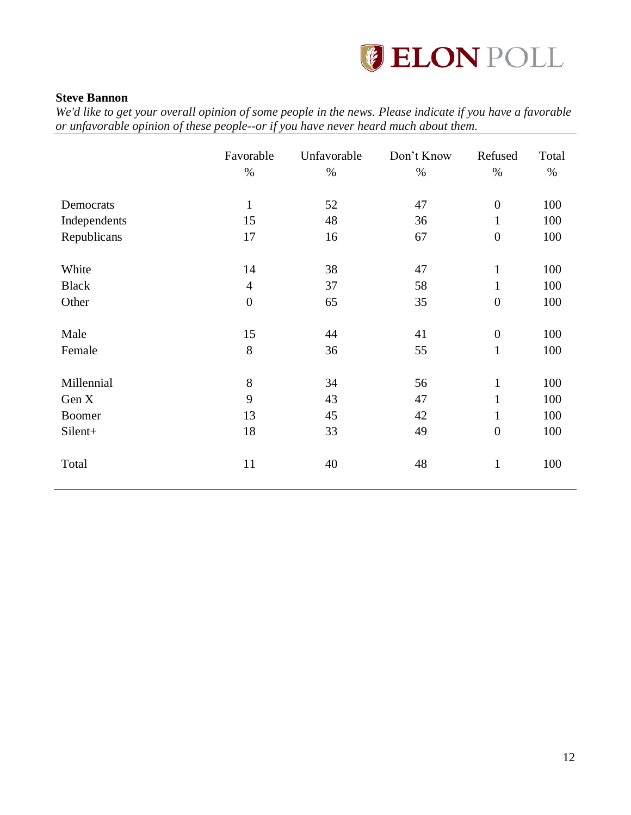

### <span id="page-12-0"></span>**Steve Bannon**

|               | Favorable<br>$\%$ | Unfavorable<br>$\%$ | Don't Know<br>$\%$ | Refused<br>$\%$  | Total<br>$\%$ |
|---------------|-------------------|---------------------|--------------------|------------------|---------------|
| Democrats     | $\mathbf{1}$      | 52                  | 47                 | $\overline{0}$   | 100           |
| Independents  | 15                | 48                  | 36                 | $\mathbf{1}$     | 100           |
| Republicans   | 17                | 16                  | 67                 | $\boldsymbol{0}$ | 100           |
| White         | 14                | 38                  | 47                 | $\mathbf{1}$     | 100           |
| <b>Black</b>  | $\overline{4}$    | 37                  | 58                 | $\mathbf{1}$     | 100           |
| Other         | $\overline{0}$    | 65                  | 35                 | $\boldsymbol{0}$ | 100           |
| Male          | 15                | 44                  | 41                 | $\boldsymbol{0}$ | 100           |
| Female        | 8                 | 36                  | 55                 | $\mathbf{1}$     | 100           |
| Millennial    | 8                 | 34                  | 56                 | $\mathbf{1}$     | 100           |
| Gen X         | 9                 | 43                  | 47                 | $\mathbf{1}$     | 100           |
| <b>Boomer</b> | 13                | 45                  | 42                 | $\mathbf{1}$     | 100           |
| Silent+       | 18                | 33                  | 49                 | $\boldsymbol{0}$ | 100           |
| Total         | 11                | 40                  | 48                 | $\mathbf{1}$     | 100           |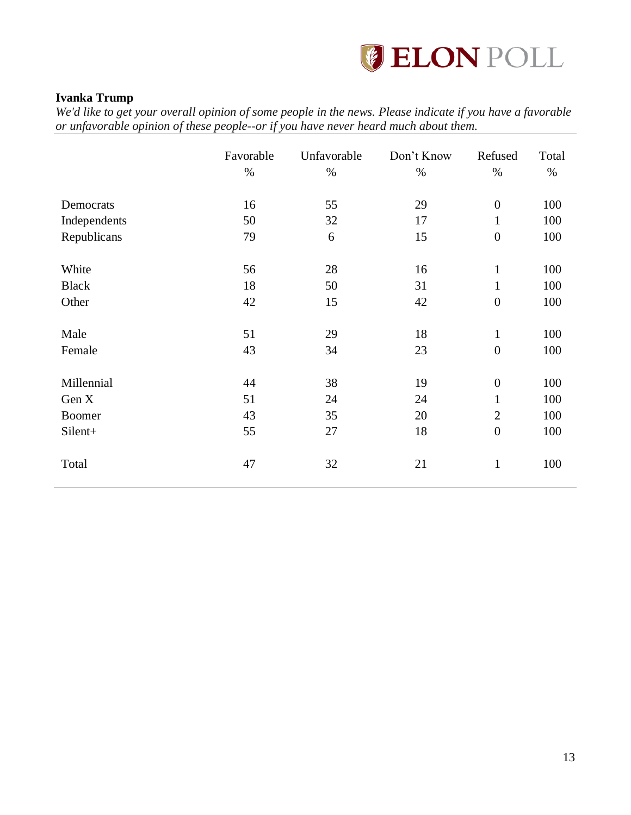

### <span id="page-13-0"></span>**Ivanka Trump**

|              | Favorable<br>$\%$ | Unfavorable<br>$\%$ | Don't Know<br>$\%$ | Refused<br>$\%$  | Total<br>$\%$ |
|--------------|-------------------|---------------------|--------------------|------------------|---------------|
| Democrats    | 16                | 55                  | 29                 | $\boldsymbol{0}$ | 100           |
| Independents | 50                | 32                  | 17                 | $\mathbf{1}$     | 100           |
| Republicans  | 79                | 6                   | 15                 | $\boldsymbol{0}$ | 100           |
| White        | 56                | 28                  | 16                 | $\mathbf{1}$     | 100           |
| <b>Black</b> | 18                | 50                  | 31                 | $\mathbf{1}$     | 100           |
| Other        | 42                | 15                  | 42                 | $\overline{0}$   | 100           |
| Male         | 51                | 29                  | 18                 | $\mathbf{1}$     | 100           |
| Female       | 43                | 34                  | 23                 | $\boldsymbol{0}$ | 100           |
| Millennial   | 44                | 38                  | 19                 | $\boldsymbol{0}$ | 100           |
| Gen X        | 51                | 24                  | 24                 | $\mathbf{1}$     | 100           |
| Boomer       | 43                | 35                  | 20                 | $\overline{2}$   | 100           |
| Silent+      | 55                | 27                  | 18                 | $\boldsymbol{0}$ | 100           |
| Total        | 47                | 32                  | 21                 | $\mathbf{1}$     | 100           |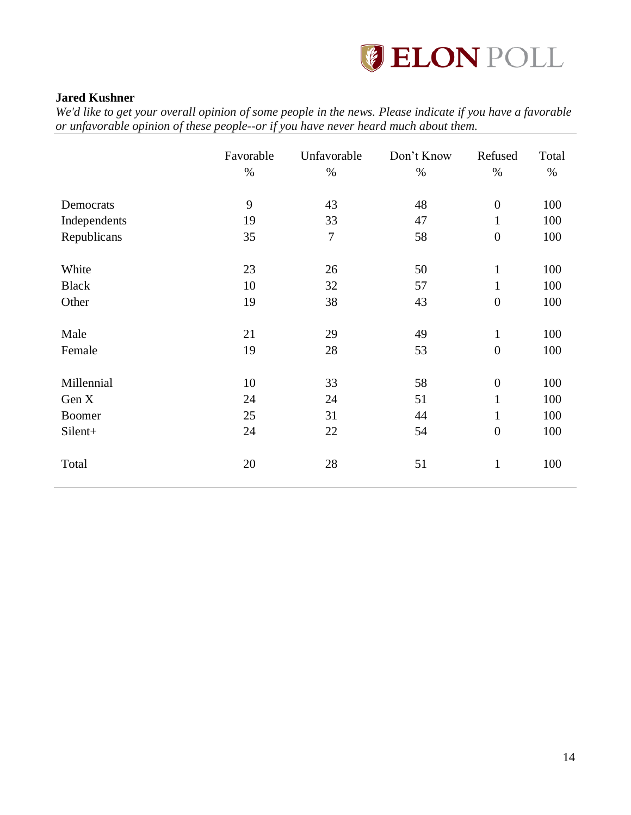

### <span id="page-14-0"></span>**Jared Kushner**

|               | Favorable<br>$\%$ | Unfavorable<br>$\%$ | Don't Know<br>$\%$ | Refused<br>$\%$  | Total<br>$\%$ |
|---------------|-------------------|---------------------|--------------------|------------------|---------------|
| Democrats     | 9                 | 43                  | 48                 | $\boldsymbol{0}$ | 100           |
| Independents  | 19                | 33                  | 47                 | $\mathbf{1}$     | 100           |
| Republicans   | 35                | $\overline{7}$      | 58                 | $\boldsymbol{0}$ | 100           |
| White         | 23                | 26                  | 50                 | $\mathbf{1}$     | 100           |
| <b>Black</b>  | 10                | 32                  | 57                 | $\mathbf{1}$     | 100           |
| Other         | 19                | 38                  | 43                 | $\boldsymbol{0}$ | 100           |
| Male          | 21                | 29                  | 49                 | $\mathbf{1}$     | 100           |
| Female        | 19                | 28                  | 53                 | $\boldsymbol{0}$ | 100           |
| Millennial    | 10                | 33                  | 58                 | $\boldsymbol{0}$ | 100           |
| Gen X         | 24                | 24                  | 51                 | $\mathbf{1}$     | 100           |
| <b>Boomer</b> | 25                | 31                  | 44                 | $\mathbf{1}$     | 100           |
| Silent+       | 24                | 22                  | 54                 | $\boldsymbol{0}$ | 100           |
| Total         | 20                | 28                  | 51                 | $\mathbf{1}$     | 100           |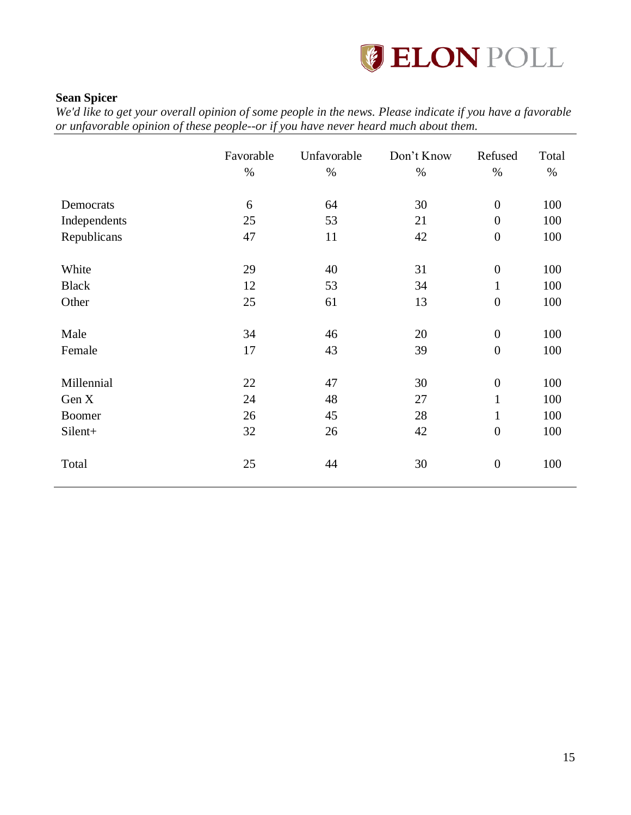

### <span id="page-15-0"></span>**Sean Spicer**

|               | Favorable<br>$\%$ | Unfavorable<br>$\%$ | Don't Know<br>$\%$ | Refused<br>$\%$  | Total<br>$\%$ |
|---------------|-------------------|---------------------|--------------------|------------------|---------------|
| Democrats     | 6                 | 64                  | 30                 | $\overline{0}$   | 100           |
| Independents  | 25                | 53                  | 21                 | $\boldsymbol{0}$ | 100           |
| Republicans   | 47                | 11                  | 42                 | $\boldsymbol{0}$ | 100           |
| White         | 29                | 40                  | 31                 | $\boldsymbol{0}$ | 100           |
| <b>Black</b>  | 12                | 53                  | 34                 | $\mathbf{1}$     | 100           |
| Other         | 25                | 61                  | 13                 | $\overline{0}$   | 100           |
| Male          | 34                | 46                  | 20                 | $\boldsymbol{0}$ | 100           |
| Female        | 17                | 43                  | 39                 | $\boldsymbol{0}$ | 100           |
| Millennial    | 22                | 47                  | 30                 | $\boldsymbol{0}$ | 100           |
| Gen X         | 24                | 48                  | 27                 | $\mathbf{1}$     | 100           |
| <b>Boomer</b> | 26                | 45                  | 28                 | $\mathbf{1}$     | 100           |
| Silent+       | 32                | 26                  | 42                 | $\boldsymbol{0}$ | 100           |
| Total         | 25                | 44                  | 30                 | $\boldsymbol{0}$ | 100           |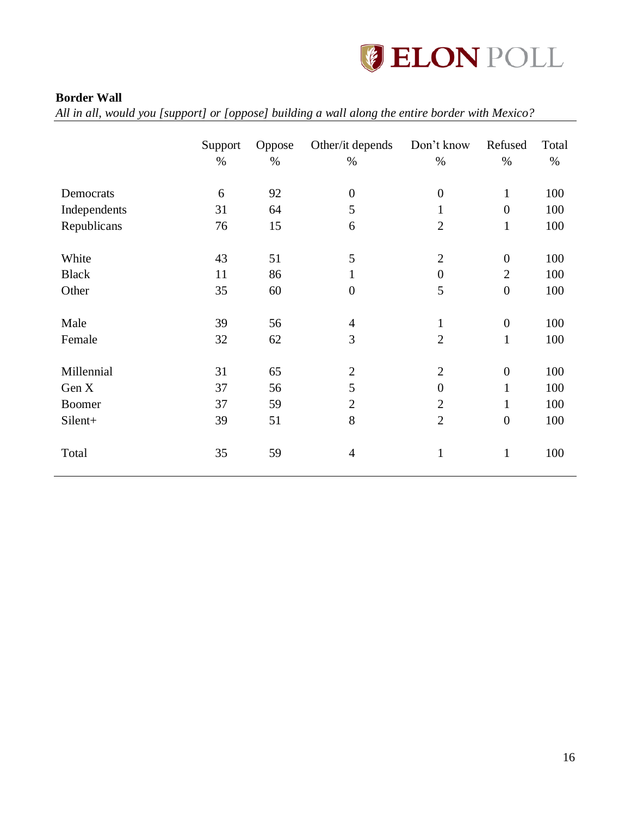

### <span id="page-16-0"></span>**Border Wall**

*All in all, would you [support] or [oppose] building a wall along the entire border with Mexico?*

|              | Support<br>$\%$ | Oppose<br>$\%$ | Other/it depends<br>$\%$ | Don't know<br>$\%$ | Refused<br>$\%$  | Total<br>$\%$ |
|--------------|-----------------|----------------|--------------------------|--------------------|------------------|---------------|
| Democrats    | 6               | 92             | $\boldsymbol{0}$         | $\boldsymbol{0}$   | $\mathbf{1}$     | 100           |
| Independents | 31              | 64             | 5                        | 1                  | $\overline{0}$   | 100           |
| Republicans  | 76              | 15             | 6                        | $\overline{2}$     | $\mathbf{1}$     | 100           |
| White        | 43              | 51             | 5                        | $\overline{2}$     | $\overline{0}$   | 100           |
| <b>Black</b> | 11              | 86             | $\mathbf{1}$             | $\boldsymbol{0}$   | $\overline{2}$   | 100           |
| Other        | 35              | 60             | $\overline{0}$           | 5                  | $\overline{0}$   | 100           |
| Male         | 39              | 56             | $\overline{4}$           | $\mathbf{1}$       | $\boldsymbol{0}$ | 100           |
| Female       | 32              | 62             | 3                        | $\overline{2}$     | $\mathbf{1}$     | 100           |
| Millennial   | 31              | 65             | $\mathbf{2}$             | $\overline{2}$     | $\boldsymbol{0}$ | 100           |
| Gen X        | 37              | 56             | 5                        | $\overline{0}$     | $\mathbf{1}$     | 100           |
| Boomer       | 37              | 59             | $\mathbf{2}$             | $\mathfrak{2}$     | $\mathbf{1}$     | 100           |
| Silent+      | 39              | 51             | 8                        | $\overline{2}$     | $\overline{0}$   | 100           |
| Total        | 35              | 59             | $\overline{4}$           | $\mathbf{1}$       | $\mathbf{1}$     | 100           |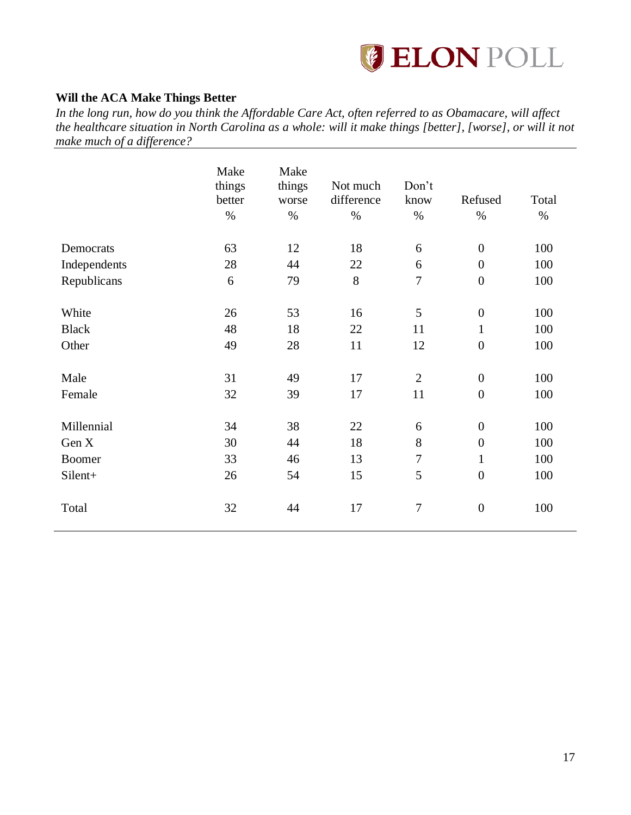

### <span id="page-17-0"></span>**Will the ACA Make Things Better**

*In the long run, how do you think the Affordable Care Act, often referred to as Obamacare, will affect the healthcare situation in North Carolina as a whole: will it make things [better], [worse], or will it not make much of a difference?* 

|               | Make<br>things<br>better<br>$\%$ | Make<br>things<br>worse<br>$\%$ | Not much<br>difference<br>$\%$ | Don't<br>know<br>$\%$ | Refused<br>$\%$  | Total<br>$\%$ |
|---------------|----------------------------------|---------------------------------|--------------------------------|-----------------------|------------------|---------------|
| Democrats     | 63                               | 12                              | 18                             | 6                     | $\boldsymbol{0}$ | 100           |
| Independents  | 28                               | 44                              | 22                             | 6                     | $\boldsymbol{0}$ | 100           |
| Republicans   | 6                                | 79                              | 8                              | $\overline{7}$        | $\overline{0}$   | 100           |
| White         | 26                               | 53                              | 16                             | 5                     | $\boldsymbol{0}$ | 100           |
| <b>Black</b>  | 48                               | 18                              | 22                             | 11                    | $\mathbf{1}$     | 100           |
| Other         | 49                               | 28                              | 11                             | 12                    | $\boldsymbol{0}$ | 100           |
| Male          | 31                               | 49                              | 17                             | $\overline{2}$        | $\boldsymbol{0}$ | 100           |
| Female        | 32                               | 39                              | 17                             | 11                    | $\boldsymbol{0}$ | 100           |
| Millennial    | 34                               | 38                              | 22                             | 6                     | $\boldsymbol{0}$ | 100           |
| Gen X         | 30                               | 44                              | 18                             | $8\,$                 | $\boldsymbol{0}$ | 100           |
| <b>Boomer</b> | 33                               | 46                              | 13                             | $\boldsymbol{7}$      | $\mathbf{1}$     | 100           |
| Silent+       | 26                               | 54                              | 15                             | 5                     | $\boldsymbol{0}$ | 100           |
| Total         | 32                               | 44                              | 17                             | $\overline{7}$        | $\boldsymbol{0}$ | 100           |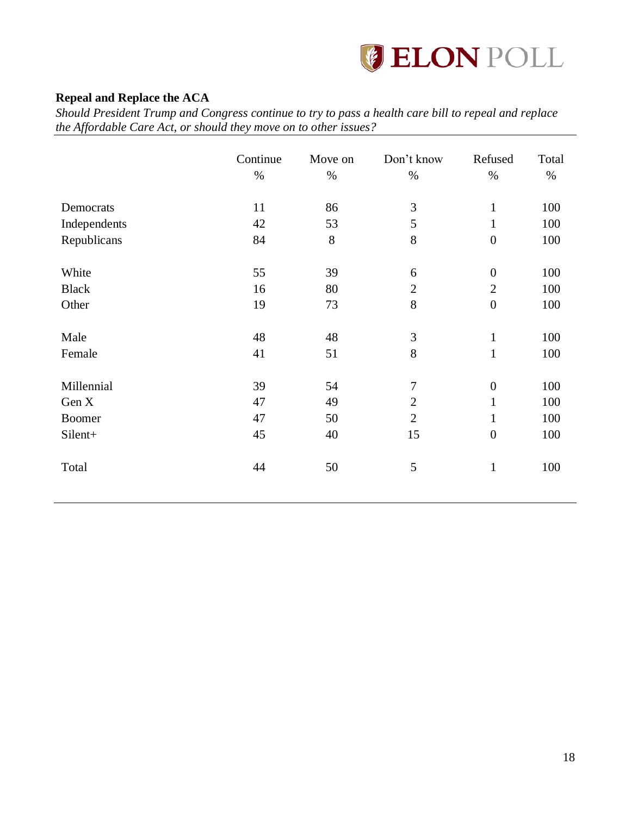

### <span id="page-18-0"></span>**Repeal and Replace the ACA**

*Should President Trump and Congress continue to try to pass a health care bill to repeal and replace the Affordable Care Act, or should they move on to other issues?*

|               | Continue<br>$\%$ | Move on<br>$\%$ | Don't know<br>$\%$ | Refused<br>$\%$  | Total<br>$\%$ |
|---------------|------------------|-----------------|--------------------|------------------|---------------|
| Democrats     | 11               | 86              | $\mathfrak{Z}$     | $\mathbf{1}$     | 100           |
| Independents  | 42               | 53              | 5                  | $\mathbf{1}$     | 100           |
| Republicans   | 84               | 8               | $8\,$              | $\boldsymbol{0}$ | 100           |
| White         | 55               | 39              | 6                  | $\overline{0}$   | 100           |
| <b>Black</b>  | 16               | 80              | $\overline{2}$     | $\overline{2}$   | 100           |
| Other         | 19               | 73              | 8                  | $\overline{0}$   | 100           |
| Male          | 48               | 48              | 3                  | $\mathbf{1}$     | 100           |
| Female        | 41               | 51              | 8                  | $\mathbf{1}$     | 100           |
| Millennial    | 39               | 54              | $\tau$             | $\boldsymbol{0}$ | 100           |
| Gen X         | 47               | 49              | $\overline{2}$     | $\mathbf{1}$     | 100           |
| <b>Boomer</b> | 47               | 50              | $\overline{2}$     | $\mathbf{1}$     | 100           |
| Silent+       | 45               | 40              | 15                 | $\overline{0}$   | 100           |
| Total         | 44               | 50              | 5                  | $\mathbf{1}$     | 100           |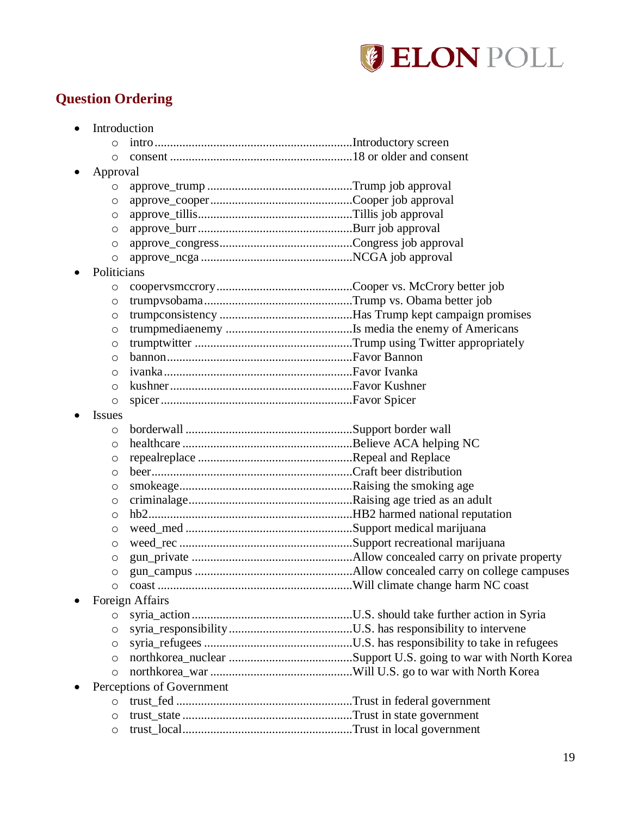

# <span id="page-19-0"></span>**Question Ordering**

| $\bullet$     | Introduction              |  |
|---------------|---------------------------|--|
| O             |                           |  |
| O             |                           |  |
| Approval      |                           |  |
| O             |                           |  |
| O             |                           |  |
| $\circ$       |                           |  |
| O             |                           |  |
| O             |                           |  |
| O             |                           |  |
| Politicians   |                           |  |
| O             |                           |  |
| $\circ$       |                           |  |
| O             |                           |  |
| O             |                           |  |
| $\circ$       |                           |  |
| O             |                           |  |
| O             |                           |  |
| $\circ$       |                           |  |
| $\circ$       |                           |  |
| <b>Issues</b> |                           |  |
| O             |                           |  |
| O             |                           |  |
| O             |                           |  |
| O             |                           |  |
| $\circ$       |                           |  |
| O             |                           |  |
| $\circ$       |                           |  |
| $\circ$       |                           |  |
| O             |                           |  |
| O             |                           |  |
| O             |                           |  |
| O             |                           |  |
|               | Foreign Affairs           |  |
| $\circ$       |                           |  |
| $\circ$       |                           |  |
| $\circ$       |                           |  |
| O             |                           |  |
| $\circ$       |                           |  |
|               | Perceptions of Government |  |
| $\circ$       |                           |  |
| $\circ$       |                           |  |
| O             |                           |  |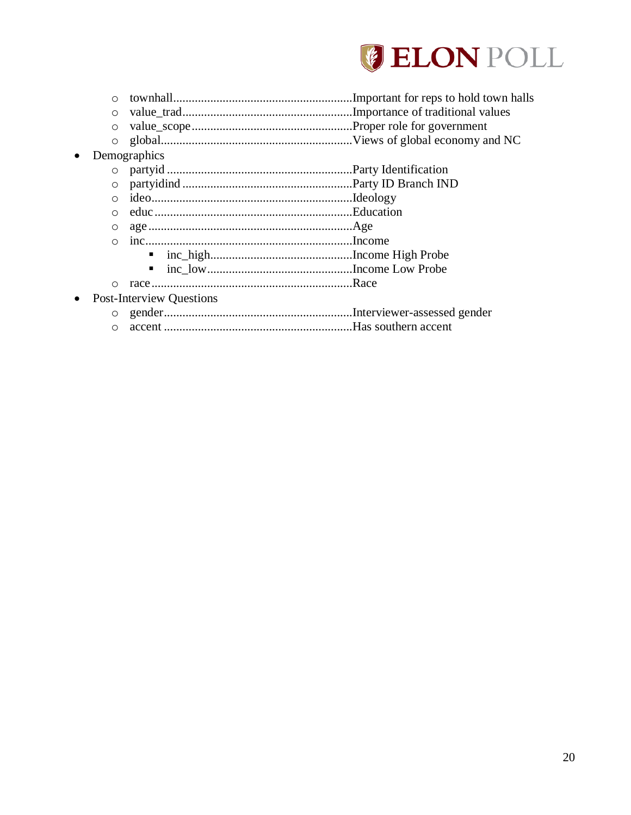

| $\Omega$ |                                 |  |
|----------|---------------------------------|--|
| $\circ$  |                                 |  |
| $\circ$  |                                 |  |
| $\circ$  |                                 |  |
|          | Demographics                    |  |
|          |                                 |  |
| $\circ$  |                                 |  |
| $\Omega$ |                                 |  |
|          |                                 |  |
| O        |                                 |  |
|          |                                 |  |
|          |                                 |  |
|          | ٠                               |  |
| ∩        |                                 |  |
|          | <b>Post-Interview Questions</b> |  |
|          |                                 |  |
|          |                                 |  |

o accent .............................................................Has southern accent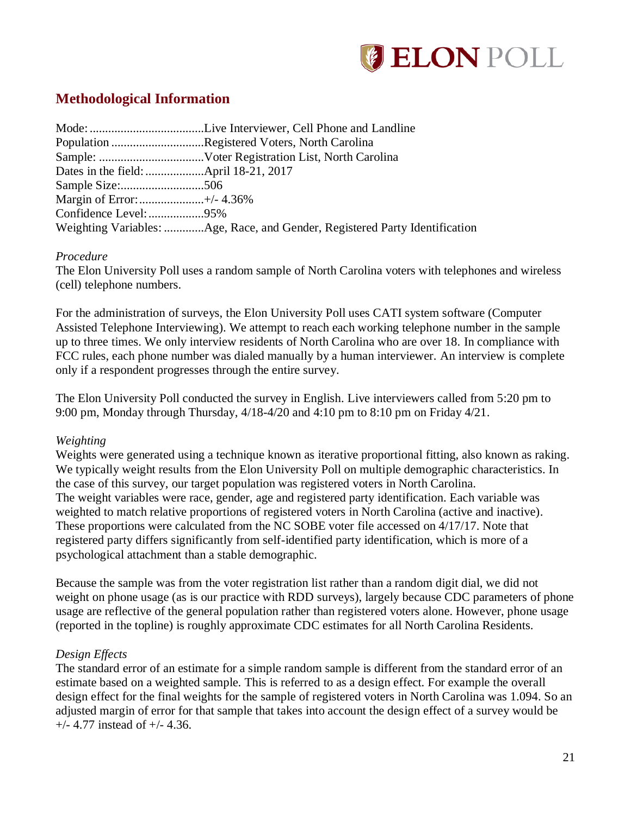

# <span id="page-21-0"></span>**Methodological Information**

|                           | Population Registered Voters, North Carolina                                |
|---------------------------|-----------------------------------------------------------------------------|
|                           |                                                                             |
|                           |                                                                             |
|                           |                                                                             |
| Margin of Error:+/- 4.36% |                                                                             |
| Confidence Level: 95%     |                                                                             |
|                           | Weighting Variables: Age, Race, and Gender, Registered Party Identification |

### *Procedure*

The Elon University Poll uses a random sample of North Carolina voters with telephones and wireless (cell) telephone numbers.

For the administration of surveys, the Elon University Poll uses CATI system software (Computer Assisted Telephone Interviewing). We attempt to reach each working telephone number in the sample up to three times. We only interview residents of North Carolina who are over 18. In compliance with FCC rules, each phone number was dialed manually by a human interviewer. An interview is complete only if a respondent progresses through the entire survey.

The Elon University Poll conducted the survey in English. Live interviewers called from 5:20 pm to 9:00 pm, Monday through Thursday, 4/18-4/20 and 4:10 pm to 8:10 pm on Friday 4/21.

### *Weighting*

Weights were generated using a technique known as iterative proportional fitting, also known as raking. We typically weight results from the Elon University Poll on multiple demographic characteristics. In the case of this survey, our target population was registered voters in North Carolina. The weight variables were race, gender, age and registered party identification. Each variable was weighted to match relative proportions of registered voters in North Carolina (active and inactive). These proportions were calculated from the NC SOBE voter file accessed on 4/17/17. Note that registered party differs significantly from self-identified party identification, which is more of a psychological attachment than a stable demographic.

Because the sample was from the voter registration list rather than a random digit dial, we did not weight on phone usage (as is our practice with RDD surveys), largely because CDC parameters of phone usage are reflective of the general population rather than registered voters alone. However, phone usage (reported in the topline) is roughly approximate CDC estimates for all North Carolina Residents.

### *Design Effects*

The standard error of an estimate for a simple random sample is different from the standard error of an estimate based on a weighted sample. This is referred to as a design effect. For example the overall design effect for the final weights for the sample of registered voters in North Carolina was 1.094. So an adjusted margin of error for that sample that takes into account the design effect of a survey would be +/- 4.77 instead of +/- 4.36.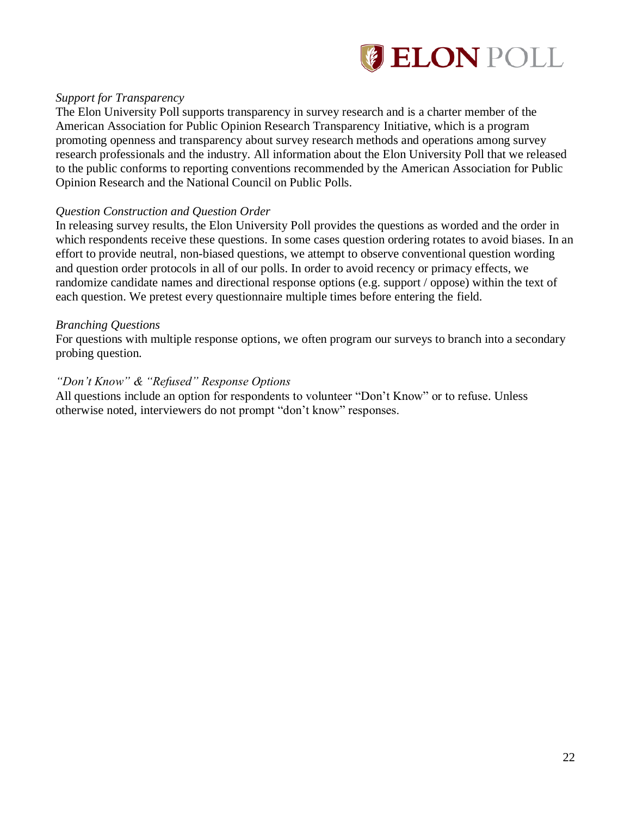

### *Support for Transparency*

The Elon University Poll supports transparency in survey research and is a charter member of the American Association for Public Opinion Research Transparency Initiative, which is a program promoting openness and transparency about survey research methods and operations among survey research professionals and the industry. All information about the Elon University Poll that we released to the public conforms to reporting conventions recommended by the American Association for Public Opinion Research and the National Council on Public Polls.

### *Question Construction and Question Order*

In releasing survey results, the Elon University Poll provides the questions as worded and the order in which respondents receive these questions. In some cases question ordering rotates to avoid biases. In an effort to provide neutral, non-biased questions, we attempt to observe conventional question wording and question order protocols in all of our polls. In order to avoid recency or primacy effects, we randomize candidate names and directional response options (e.g. support / oppose) within the text of each question. We pretest every questionnaire multiple times before entering the field.

### *Branching Questions*

For questions with multiple response options, we often program our surveys to branch into a secondary probing question.

### *"Don't Know" & "Refused" Response Options*

All questions include an option for respondents to volunteer "Don't Know" or to refuse. Unless otherwise noted, interviewers do not prompt "don't know" responses.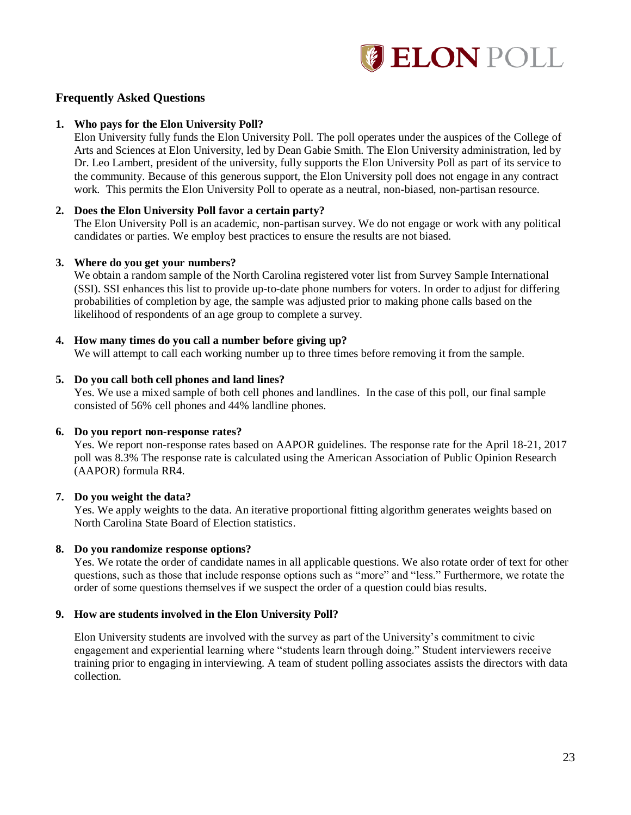

### **Frequently Asked Questions**

#### **1. Who pays for the Elon University Poll?**

Elon University fully funds the Elon University Poll. The poll operates under the auspices of the College of Arts and Sciences at Elon University, led by Dean Gabie Smith. The Elon University administration, led by Dr. Leo Lambert, president of the university, fully supports the Elon University Poll as part of its service to the community. Because of this generous support, the Elon University poll does not engage in any contract work. This permits the Elon University Poll to operate as a neutral, non-biased, non-partisan resource.

#### **2. Does the Elon University Poll favor a certain party?**

The Elon University Poll is an academic, non-partisan survey. We do not engage or work with any political candidates or parties. We employ best practices to ensure the results are not biased.

#### **3. Where do you get your numbers?**

We obtain a random sample of the North Carolina registered voter list from Survey Sample International (SSI). SSI enhances this list to provide up-to-date phone numbers for voters. In order to adjust for differing probabilities of completion by age, the sample was adjusted prior to making phone calls based on the likelihood of respondents of an age group to complete a survey.

#### **4. How many times do you call a number before giving up?**

We will attempt to call each working number up to three times before removing it from the sample.

#### **5. Do you call both cell phones and land lines?**

Yes. We use a mixed sample of both cell phones and landlines. In the case of this poll, our final sample consisted of 56% cell phones and 44% landline phones.

#### **6. Do you report non-response rates?**

Yes. We report non-response rates based on AAPOR guidelines. The response rate for the April 18-21, 2017 poll was 8.3% The response rate is calculated using the American Association of Public Opinion Research (AAPOR) formula RR4.

#### **7. Do you weight the data?**

Yes. We apply weights to the data. An iterative proportional fitting algorithm generates weights based on North Carolina State Board of Election statistics.

#### **8. Do you randomize response options?**

Yes. We rotate the order of candidate names in all applicable questions. We also rotate order of text for other questions, such as those that include response options such as "more" and "less." Furthermore, we rotate the order of some questions themselves if we suspect the order of a question could bias results.

#### **9. How are students involved in the Elon University Poll?**

Elon University students are involved with the survey as part of the University's commitment to civic engagement and experiential learning where "students learn through doing." Student interviewers receive training prior to engaging in interviewing. A team of student polling associates assists the directors with data collection.